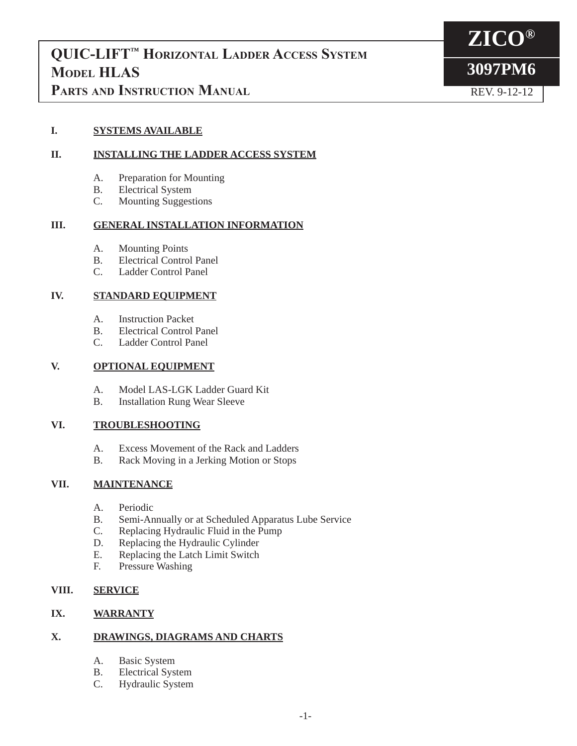#### **I. SYSTEMS AVAILABLE**

## **II. INSTALLING THE LADDER ACCESS SYSTEM**

- A. Preparation for Mounting
- B. Electrical System
- C. Mounting Suggestions

## **III. GENERAL INSTALLATION INFORMATION**

- A. Mounting Points<br>B. Electrical Contro
- Electrical Control Panel
- C. Ladder Control Panel

## **IV. STANDARD EQUIPMENT**

- A. Instruction Packet
- B. Electrical Control Panel<br>C. Ladder Control Panel
- Ladder Control Panel

## **V. OPTIONAL EQUIPMENT**

- A. Model LAS-LGK Ladder Guard Kit
- B. Installation Rung Wear Sleeve

## **VI. TROUBLESHOOTING**

- A. Excess Movement of the Rack and Ladders
- B. Rack Moving in a Jerking Motion or Stops

## **VII. MAINTENANCE**

- A. Periodic
- B. Semi-Annually or at Scheduled Apparatus Lube Service
- C. Replacing Hydraulic Fluid in the Pump
- D. Replacing the Hydraulic Cylinder
- E. Replacing the Latch Limit Switch
- F. Pressure Washing

## **VIII. SERVICE**

## **IX. WARRANTY**

## **X. DRAWINGS, DIAGRAMS AND CHARTS**

- A. Basic System
- B. Electrical System
- C. Hydraulic System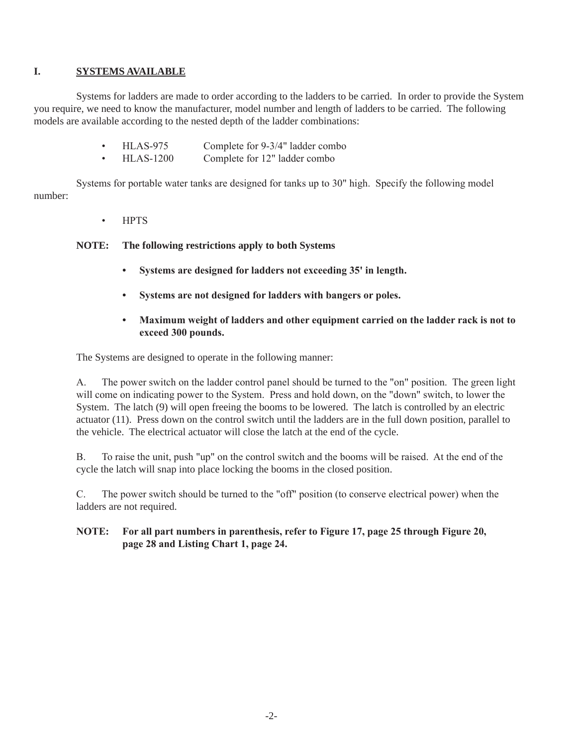## **I. SYSTEMS AVAILABLE**

Systems for ladders are made to order according to the ladders to be carried. In order to provide the System you require, we need to know the manufacturer, model number and length of ladders to be carried. The following models are available according to the nested depth of the ladder combinations:

- HLAS-975 Complete for 9-3/4" ladder combo
- HLAS-1200 Complete for 12" ladder combo

 Systems for portable water tanks are designed for tanks up to 30" high. Specify the following model number:

 • HPTS

## **NOTE: The following restrictions apply to both Systems**

- **Systems** are designed for ladders not exceeding 35' in length.
- **• Systems are not designed for ladders with bangers or poles.**
- **• Maximum weight of ladders and other equipment carried on the ladder rack is not to exceed 300 pounds.**

The Systems are designed to operate in the following manner:

A. The power switch on the ladder control panel should be turned to the "on" position. The green light will come on indicating power to the System. Press and hold down, on the "down" switch, to lower the System. The latch (9) will open freeing the booms to be lowered. The latch is controlled by an electric actuator (11). Press down on the control switch until the ladders are in the full down position, parallel to the vehicle. The electrical actuator will close the latch at the end of the cycle.

 B. To raise the unit, push "up" on the control switch and the booms will be raised. At the end of the cycle the latch will snap into place locking the booms in the closed position.

C. The power switch should be turned to the "off" position (to conserve electrical power) when the ladders are not required.

## **NOTE: For all part numbers in parenthesis, refer to Figure 17, page 25 through Figure 20, page 28 and Listing Chart 1, page 24.**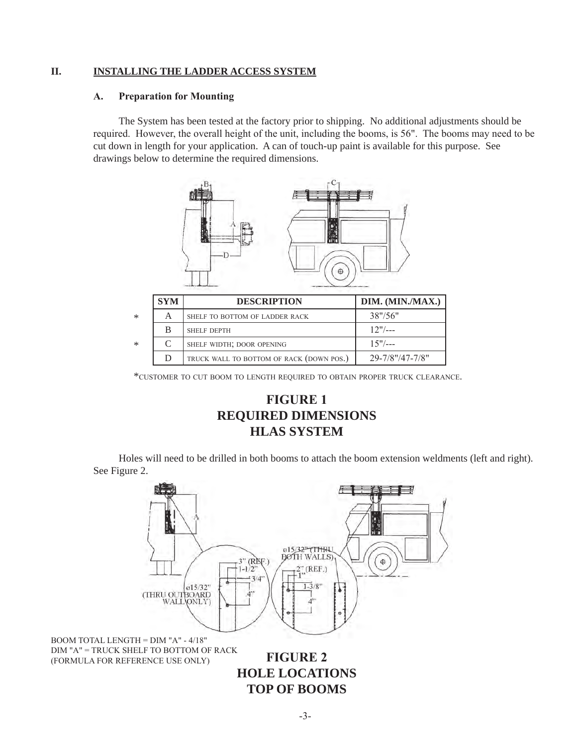## **II. INSTALLING THE LADDER ACCESS SYSTEM**

## **A. Preparation for Mounting**

The System has been tested at the factory prior to shipping. No additional adjustments should be required. However, the overall height of the unit, including the booms, is 56". The booms may need to be cut down in length for your application. A can of touch-up paint is available for this purpose. See drawings below to determine the required dimensions.



|   | <b>SYM</b> | <b>DESCRIPTION</b>                       | DIM. (MIN./MAX.) |
|---|------------|------------------------------------------|------------------|
| * | А          | SHELF TO BOTTOM OF LADDER RACK           | 38"/56"          |
|   | B          | <b>SHELF DEPTH</b>                       | $12"/--$         |
| * |            | SHELF WIDTH; DOOR OPENING                | $15"/--$         |
|   |            | TRUCK WALL TO BOTTOM OF RACK (DOWN POS.) | 29-7/8"/47-7/8"  |

\*customer to cut boom to length required to obtain proper truck clearance.

# **FIGURE 1 REQUIRED DIMENSIONS HLAS SYSTEM**

 Holes will need to be drilled in both booms to attach the boom extension weldments (left and right). See Figure 2.



boom total length = dim "a" - 4/18" dim "a" = truck shelf to bottom of rack (formula for reference use only)

**FIGURE 2 HOLE LOCATIONS TOP OF BOOMS**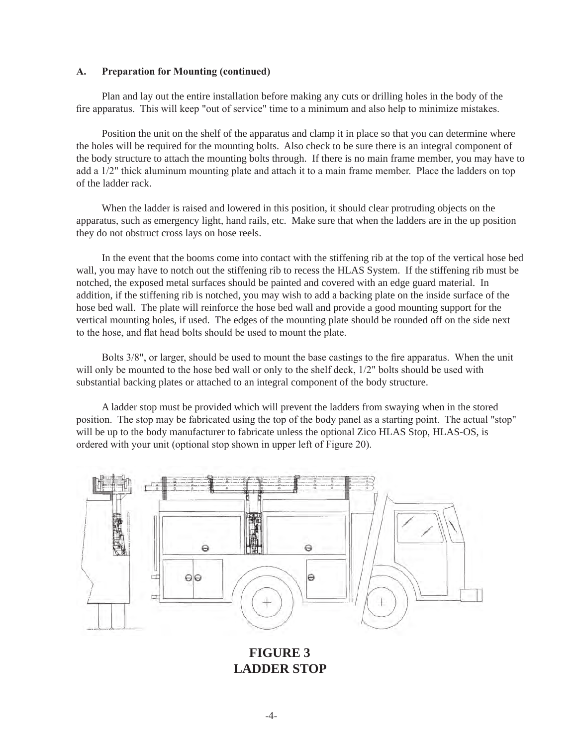#### **A. Preparation for Mounting (continued)**

Plan and lay out the entire installation before making any cuts or drilling holes in the body of the fire apparatus. This will keep "out of service" time to a minimum and also help to minimize mistakes.

Position the unit on the shelf of the apparatus and clamp it in place so that you can determine where the holes will be required for the mounting bolts. Also check to be sure there is an integral component of the body structure to attach the mounting bolts through. If there is no main frame member, you may have to add a 1/2" thick aluminum mounting plate and attach it to a main frame member. Place the ladders on top of the ladder rack.

When the ladder is raised and lowered in this position, it should clear protruding objects on the apparatus, such as emergency light, hand rails, etc. Make sure that when the ladders are in the up position they do not obstruct cross lays on hose reels.

In the event that the booms come into contact with the stiffening rib at the top of the vertical hose bed wall, you may have to notch out the stiffening rib to recess the HLAS System. If the stiffening rib must be notched, the exposed metal surfaces should be painted and covered with an edge guard material. In addition, if the stiffening rib is notched, you may wish to add a backing plate on the inside surface of the hose bed wall. The plate will reinforce the hose bed wall and provide a good mounting support for the vertical mounting holes, if used. The edges of the mounting plate should be rounded off on the side next to the hose, and flat head bolts should be used to mount the plate.

 Bolts 3/8", or larger, should be used to mount the base castings to the fire apparatus. When the unit will only be mounted to the hose bed wall or only to the shelf deck,  $1/2$ " bolts should be used with substantial backing plates or attached to an integral component of the body structure.

A ladder stop must be provided which will prevent the ladders from swaying when in the stored position. The stop may be fabricated using the top of the body panel as a starting point. The actual "stop" will be up to the body manufacturer to fabricate unless the optional Zico HLAS Stop, HLAS-OS, is ordered with your unit (optional stop shown in upper left of Figure 20).



**FIGURE 3 LADDER STOP**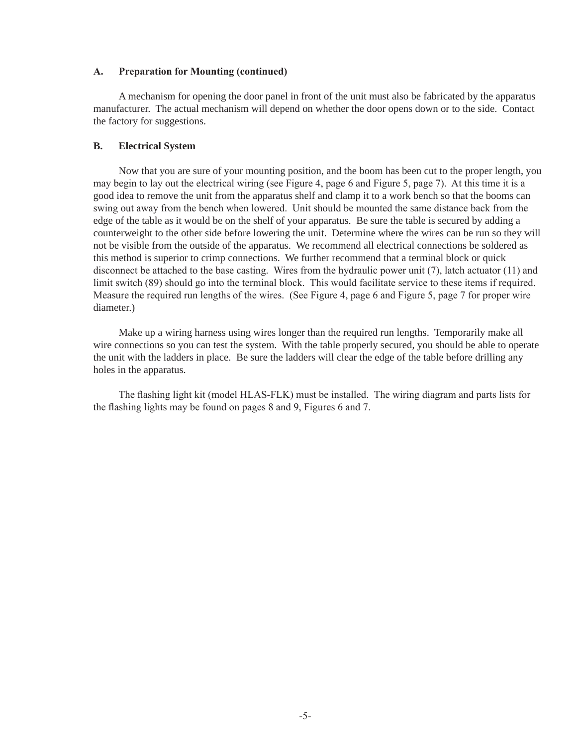#### **A. Preparation for Mounting (continued)**

A mechanism for opening the door panel in front of the unit must also be fabricated by the apparatus manufacturer. The actual mechanism will depend on whether the door opens down or to the side. Contact the factory for suggestions.

## **B. Electrical System**

Now that you are sure of your mounting position, and the boom has been cut to the proper length, you may begin to lay out the electrical wiring (see Figure 4, page 6 and Figure 5, page 7). At this time it is a good idea to remove the unit from the apparatus shelf and clamp it to a work bench so that the booms can swing out away from the bench when lowered. Unit should be mounted the same distance back from the edge of the table as it would be on the shelf of your apparatus. Be sure the table is secured by adding a counterweight to the other side before lowering the unit. Determine where the wires can be run so they will not be visible from the outside of the apparatus. We recommend all electrical connections be soldered as this method is superior to crimp connections. We further recommend that a terminal block or quick disconnect be attached to the base casting. Wires from the hydraulic power unit (7), latch actuator (11) and limit switch (89) should go into the terminal block. This would facilitate service to these items if required. Measure the required run lengths of the wires. (See Figure 4, page 6 and Figure 5, page 7 for proper wire diameter.)

Make up a wiring harness using wires longer than the required run lengths. Temporarily make all wire connections so you can test the system. With the table properly secured, you should be able to operate the unit with the ladders in place. Be sure the ladders will clear the edge of the table before drilling any holes in the apparatus.

 The flashing light kit (model HLAS-FLK) must be installed. The wiring diagram and parts lists for the flashing lights may be found on pages 8 and 9, Figures 6 and 7.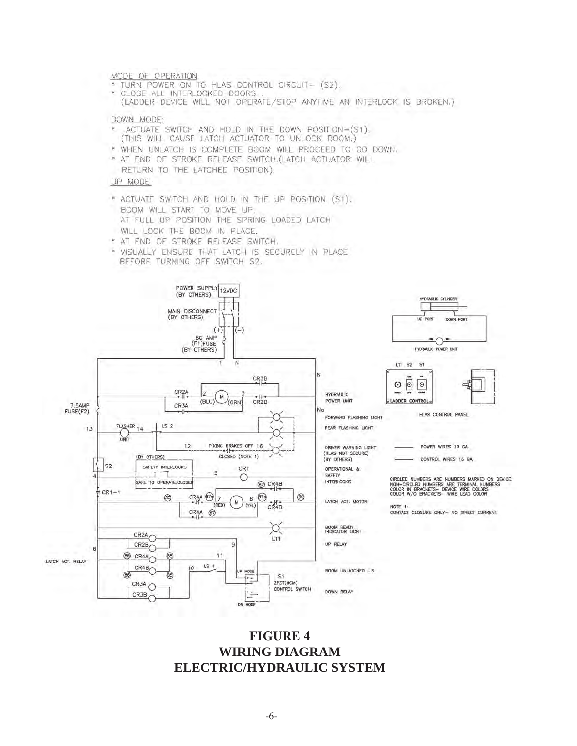MODE OF OPERATION

- TURN POWER ON TO HLAS CONTROL CIRCUIT- (S2). 莱
- CLOSE ALL INTERLOCKED DOORS
- (LADDER DEVICE WILL NOT OPERATE/STOP ANYTIME AN INTERLOCK IS BROKEN.)

DOWN MODE:

- ACTUATE SWITCH AND HOLD IN THE DOWN POSITION-(S1).<br>(THIS WILL CAUSE LATCH ACTUATOR TO UNLOCK BOOM.)
- \* WHEN UNLATCH IS COMPLETE BOOM WILL PROCEED TO GO DOWN.
- \* AT END OF STROKE RELEASE SWITCH.(LATCH ACTUATOR WILL
- RETURN TO THE LATCHED POSITION).

#### UP MODE:

- \* ACTUATE SWITCH AND HOLD IN THE UP POSITION (S1). BOOM WILL START TO MOVE UP. AT FULL UP POSITION THE SPRING LOADED LATCH WILL LOCK THE BOOM IN PLACE.
- \* AT END OF STROKE RELEASE SWITCH.
- \* VISUALLY ENSURE THAT LATCH IS SECURELY IN PLACE BEFORE TURNING OFF SWITCH S2.



## **FIGURE 4 WIRING DIAGRAM ELECTRIC/HYDRAULIC SYSTEM**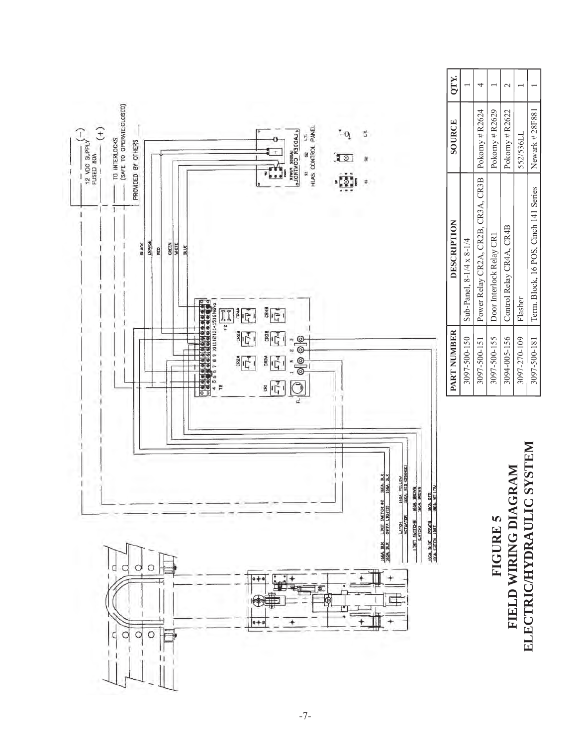

-7-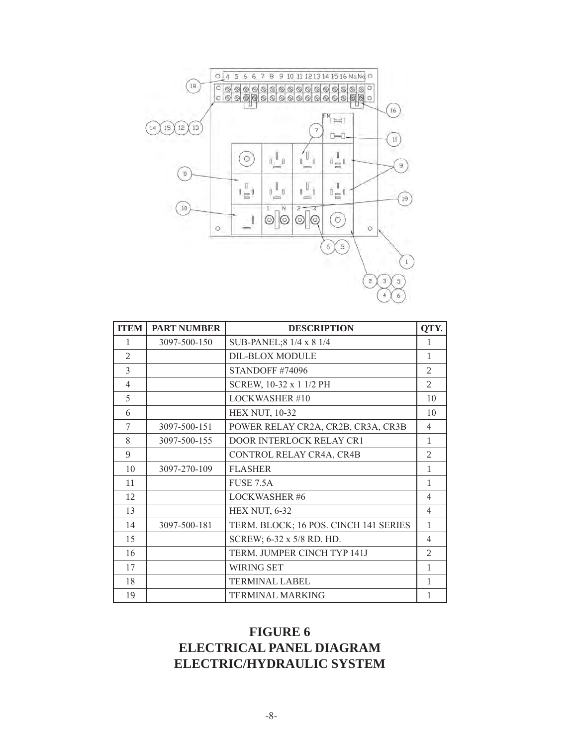

| <b>ITEM</b>    | <b>PART NUMBER</b> | <b>DESCRIPTION</b>                    | OTY.           |
|----------------|--------------------|---------------------------------------|----------------|
| 1              | 3097-500-150       | SUB-PANEL; 8 1/4 x 8 1/4              | 1              |
| $\mathfrak{D}$ |                    | <b>DIL-BLOX MODULE</b>                | 1              |
| 3              |                    | STANDOFF #74096                       | $\mathfrak{2}$ |
| 4              |                    | SCREW, 10-32 x 1 1/2 PH               | $\mathfrak{D}$ |
| 5              |                    | LOCKWASHER #10                        | 10             |
| 6              |                    | <b>HEX NUT, 10-32</b>                 | 10             |
| 7              | 3097-500-151       | POWER RELAY CR2A, CR2B, CR3A, CR3B    | $\overline{4}$ |
| 8              | 3097-500-155       | <b>DOOR INTERLOCK RELAY CR1</b>       | 1              |
| 9              |                    | CONTROL RELAY CR4A, CR4B              | 2              |
| 10             | 3097-270-109       | <b>FLASHER</b>                        | 1              |
| 11             |                    | <b>FUSE 7.5A</b>                      | 1              |
| 12             |                    | <b>LOCKWASHER#6</b>                   | $\overline{4}$ |
| 13             |                    | <b>HEX NUT, 6-32</b>                  | $\overline{4}$ |
| 14             | 3097-500-181       | TERM. BLOCK; 16 POS. CINCH 141 SERIES | $\mathbf{1}$   |
| 15             |                    | SCREW; 6-32 x 5/8 RD. HD.             | 4              |
| 16             |                    | TERM. JUMPER CINCH TYP 141J           | 2              |
| 17             |                    | <b>WIRING SET</b>                     | 1              |
| 18             |                    | <b>TERMINAL LABEL</b>                 | 1              |
| 19             |                    | TERMINAL MARKING                      | 1              |

# **FIGURE 6 ELECTRICAL PANEL DIAGRAM ELECTRIC/HYDRAULIC SYSTEM**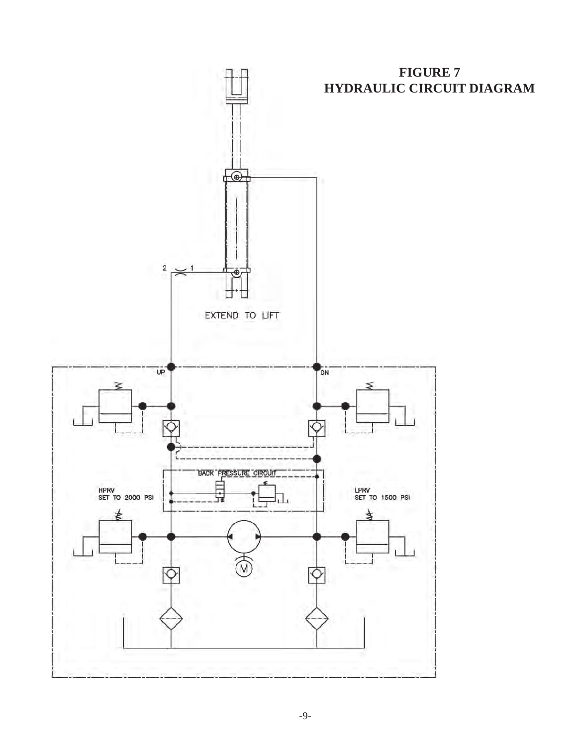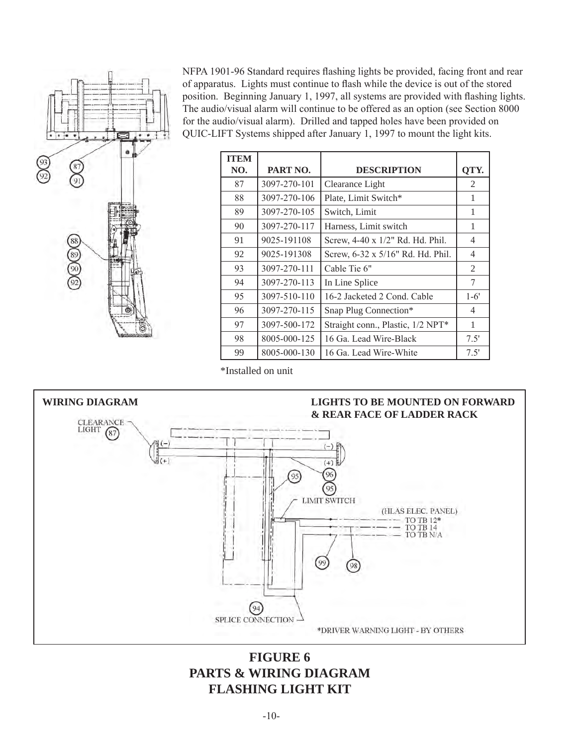

NFPA 1901-96 Standard requires flashing lights be provided, facing front and rear of apparatus. Lights must continue to flash while the device is out of the stored position. Beginning January 1, 1997, all systems are provided with flashing lights. The audio/visual alarm will continue to be offered as an option (see Section 8000 for the audio/visual alarm). Drilled and tapped holes have been provided on QUIC-LIFT Systems shipped after January 1, 1997 to mount the light kits.

| <b>ITEM</b> |              |                                   |                |
|-------------|--------------|-----------------------------------|----------------|
| NO.         | PART NO.     | <b>DESCRIPTION</b>                | OTY.           |
| 87          | 3097-270-101 | Clearance Light                   | 2              |
| 88          | 3097-270-106 | Plate, Limit Switch*              | 1              |
| 89          | 3097-270-105 | Switch, Limit                     | 1              |
| 90          | 3097-270-117 | Harness, Limit switch             | 1              |
| 91          | 9025-191108  | Screw, 4-40 x 1/2" Rd. Hd. Phil.  | 4              |
| 92          | 9025-191308  | Screw, 6-32 x 5/16" Rd. Hd. Phil. | 4              |
| 93          | 3097-270-111 | Cable Tie 6"                      | $\mathfrak{2}$ |
| 94          | 3097-270-113 | In Line Splice                    | 7              |
| 95          | 3097-510-110 | 16-2 Jacketed 2 Cond. Cable       | $1 - 6'$       |
| 96          | 3097-270-115 | Snap Plug Connection*             | 4              |
| 97          | 3097-500-172 | Straight conn., Plastic, 1/2 NPT* | 1              |
| 98          | 8005-000-125 | 16 Ga. Lead Wire-Black            | 7.5'           |
| 99          | 8005-000-130 | 16 Ga. Lead Wire-White            | 7.5'           |

\*Installed on unit



## **FIGURE 6 PARTS & WIRING DIAGRAM FLASHING LIGHT KIT**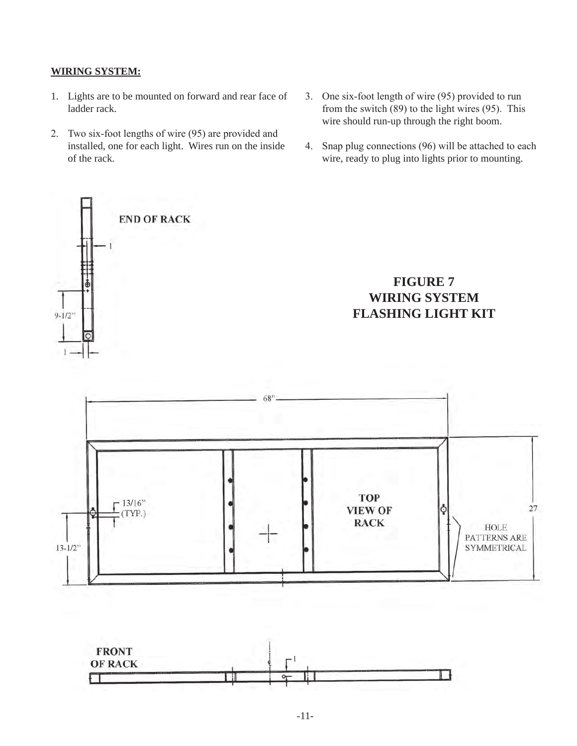## **WIRING SYSTEM:**

- 1. Lights are to be mounted on forward and rear face of ladder rack.
- 2. Two six-foot lengths of wire (95) are provided and installed, one for each light. Wires run on the inside of the rack.
- 3. One six-foot length of wire (95) provided to run from the switch (89) to the light wires (95). This wire should run-up through the right boom.
- 4. Snap plug connections (96) will be attached to each wire, ready to plug into lights prior to mounting.





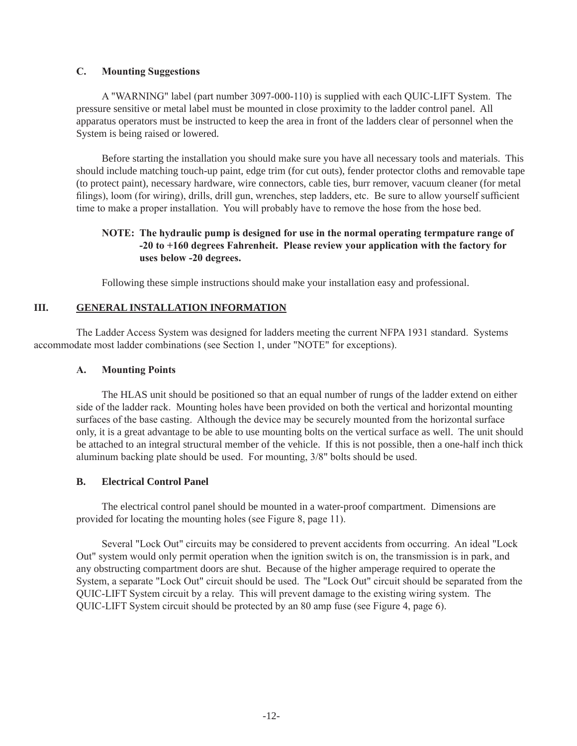## **C. Mounting Suggestions**

 A "WARNING" label (part number 3097-000-110) is supplied with each QUIC-LIFT System. The pressure sensitive or metal label must be mounted in close proximity to the ladder control panel. All apparatus operators must be instructed to keep the area in front of the ladders clear of personnel when the System is being raised or lowered.

Before starting the installation you should make sure you have all necessary tools and materials. This should include matching touch-up paint, edge trim (for cut outs), fender protector cloths and removable tape (to protect paint), necessary hardware, wire connectors, cable ties, burr remover, vacuum cleaner (for metal filings), loom (for wiring), drills, drill gun, wrenches, step ladders, etc. Be sure to allow yourself sufficient time to make a proper installation. You will probably have to remove the hose from the hose bed.

## **NOTE: The hydraulic pump is designed for use in the normal operating termpature range of -20 to +160 degrees Fahrenheit. Please review your application with the factory for uses below -20 degrees.**

Following these simple instructions should make your installation easy and professional.

## **III. GENERAL INSTALLATION INFORMATION**

 The Ladder Access System was designed for ladders meeting the current NFPA 1931 standard. Systems accommodate most ladder combinations (see Section 1, under "NOTE" for exceptions).

#### **A. Mounting Points**

The HLAS unit should be positioned so that an equal number of rungs of the ladder extend on either side of the ladder rack. Mounting holes have been provided on both the vertical and horizontal mounting surfaces of the base casting. Although the device may be securely mounted from the horizontal surface only, it is a great advantage to be able to use mounting bolts on the vertical surface as well. The unit should be attached to an integral structural member of the vehicle. If this is not possible, then a one-half inch thick aluminum backing plate should be used. For mounting, 3/8" bolts should be used.

## **B. Electrical Control Panel**

The electrical control panel should be mounted in a water-proof compartment. Dimensions are provided for locating the mounting holes (see Figure 8, page 11).

 Several "Lock Out" circuits may be considered to prevent accidents from occurring. An ideal "Lock Out" system would only permit operation when the ignition switch is on, the transmission is in park, and any obstructing compartment doors are shut. Because of the higher amperage required to operate the System, a separate "Lock Out" circuit should be used. The "Lock Out" circuit should be separated from the QUIC-LIFT System circuit by a relay. This will prevent damage to the existing wiring system. The QUIC-LIFT System circuit should be protected by an 80 amp fuse (see Figure 4, page 6).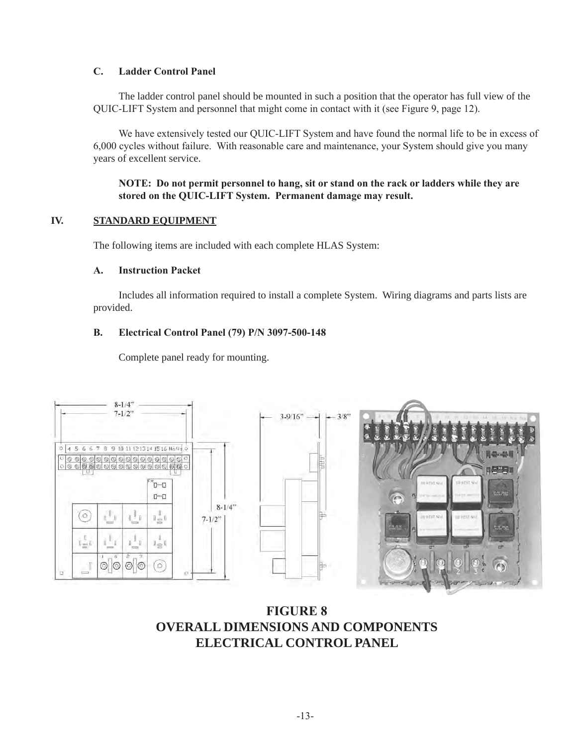## **C. Ladder Control Panel**

The ladder control panel should be mounted in such a position that the operator has full view of the QUIC-LIFT System and personnel that might come in contact with it (see Figure 9, page 12).

 We have extensively tested our QUIC-LIFT System and have found the normal life to be in excess of 6,000 cycles without failure. With reasonable care and maintenance, your System should give you many years of excellent service.

## **NOTE: Do not permit personnel to hang, sit or stand on the rack or ladders while they are stored on the QUIC-LIFT System. Permanent damage may result.**

## **IV. STANDARD EQUIPMENT**

The following items are included with each complete HLAS System:

## **A. Instruction Packet**

Includes all information required to install a complete System. Wiring diagrams and parts lists are provided.

## **B. Electrical Control Panel (79) P/N 3097-500-148**

Complete panel ready for mounting.



## **FIGURE 8 OVERALL DIMENSIONS AND COMPONENTS ELECTRICAL CONTROL PANEL**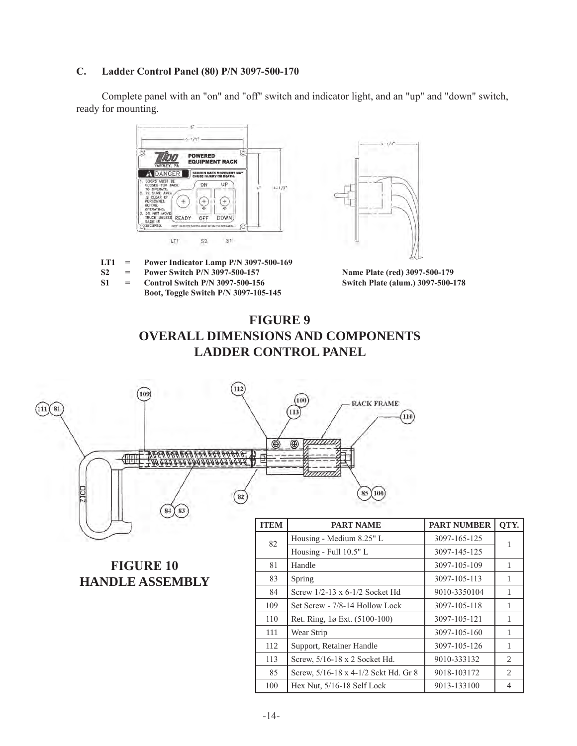#### **C. Ladder Control Panel (80) P/N 3097-500-170**

 Complete panel with an "on" and "off" switch and indicator light, and an "up" and "down" switch, ready for mounting.





- **LT1** = Power Indicator Lamp  $P/N$  3097-500-169<br> **S2** = Power Switch  $P/N$  3097-500-157
- **S2** = **Power Switch P/N 3097-500-157**<br> **S1** = **Control Switch P/N 3097-500-15**
- **S1 = Control Switch P/N 3097-500-156 Boot, Toggle Switch P/N 3097-105-145**

**Name Plate (red) 3097-500-179 Switch Plate (alum.) 3097-500-178**

# **FIGURE 9 OVERALL DIMENSIONS AND COMPONENTS LADDER CONTROL PANEL**



**FIGURE 10 HANDLE ASSEMBLY**

| <b>ITEM</b> | <b>PART NAME</b>                     | <b>PART NUMBER</b> | QTY.           |  |
|-------------|--------------------------------------|--------------------|----------------|--|
| 82          | Housing - Medium 8.25" L             | 3097-165-125       | 1              |  |
|             | Housing - Full 10.5" L               | 3097-145-125       |                |  |
| 81          | Handle                               | 3097-105-109       | 1              |  |
| 83          | Spring                               | 3097-105-113       | 1              |  |
| 84          | Screw $1/2$ -13 x 6-1/2 Socket Hd    | 9010-3350104       | 1              |  |
| 109         | Set Screw - 7/8-14 Hollow Lock       | 3097-105-118       | 1              |  |
| 110         | Ret. Ring, 1ø Ext. (5100-100)        | 3097-105-121       | 1              |  |
| 111         | Wear Strip                           | 3097-105-160       | 1              |  |
| 112         | Support, Retainer Handle             | 3097-105-126       | 1              |  |
| 113         | Screw, 5/16-18 x 2 Socket Hd.        | 9010-333132        | 2              |  |
| 85          | Screw, 5/16-18 x 4-1/2 Sckt Hd. Gr 8 | 9018-103172        | $\overline{c}$ |  |
| 100         | Hex Nut, $5/16-18$ Self Lock         | 9013-133100        | $\overline{4}$ |  |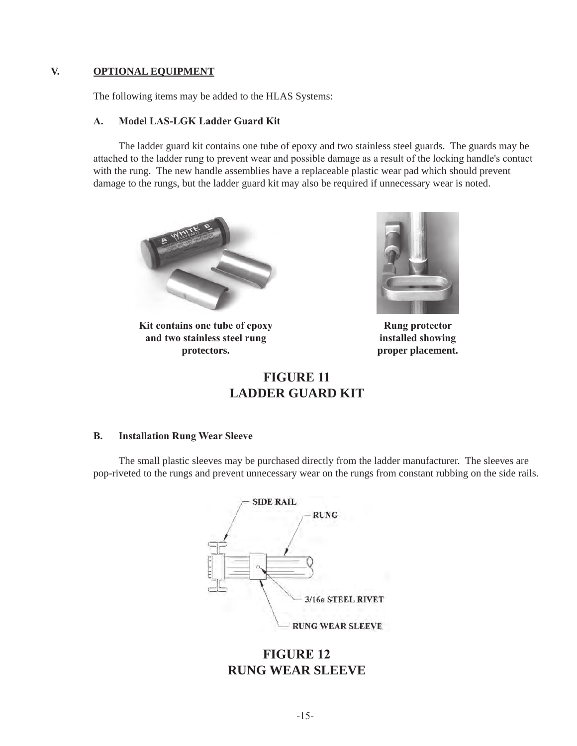## **V. OPTIONAL EQUIPMENT**

The following items may be added to the HLAS Systems:

## **A. Model LAS-LGK Ladder Guard Kit**

The ladder guard kit contains one tube of epoxy and two stainless steel guards. The guards may be attached to the ladder rung to prevent wear and possible damage as a result of the locking handle's contact with the rung. The new handle assemblies have a replaceable plastic wear pad which should prevent damage to the rungs, but the ladder guard kit may also be required if unnecessary wear is noted.



**Kit contains one tube of epoxy and two stainless steel rung protectors.**



**Rung protector installed showing proper placement.**

## **FIGURE 11 LADDER GUARD KIT**

#### **B. Installation Rung Wear Sleeve**

The small plastic sleeves may be purchased directly from the ladder manufacturer. The sleeves are pop-riveted to the rungs and prevent unnecessary wear on the rungs from constant rubbing on the side rails.



## **FIGURE 12 RUNG WEAR SLEEVE**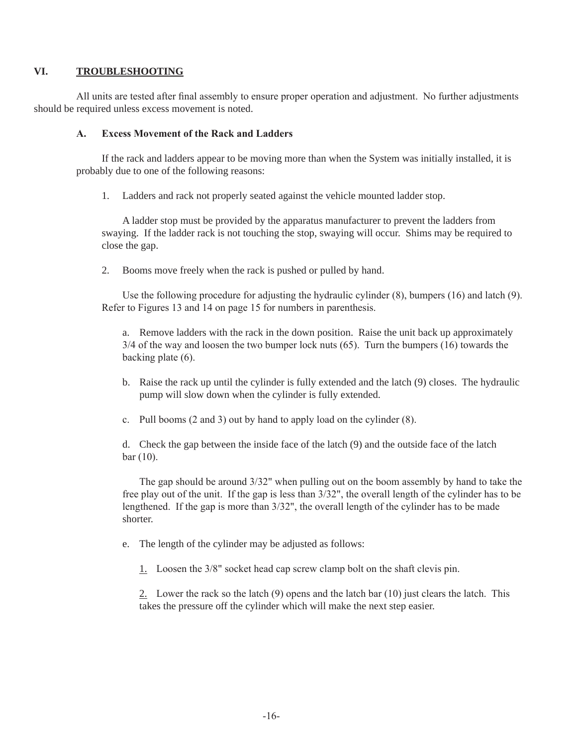## **VI. TROUBLESHOOTING**

All units are tested after final assembly to ensure proper operation and adjustment. No further adjustments should be required unless excess movement is noted.

## **A. Excess Movement of the Rack and Ladders**

If the rack and ladders appear to be moving more than when the System was initially installed, it is probably due to one of the following reasons:

1. Ladders and rack not properly seated against the vehicle mounted ladder stop.

 A ladder stop must be provided by the apparatus manufacturer to prevent the ladders from swaying. If the ladder rack is not touching the stop, swaying will occur. Shims may be required to close the gap.

2. Booms move freely when the rack is pushed or pulled by hand.

 Use the following procedure for adjusting the hydraulic cylinder (8), bumpers (16) and latch (9). Refer to Figures 13 and 14 on page 15 for numbers in parenthesis.

 a. Remove ladders with the rack in the down position. Raise the unit back up approximately 3/4 of the way and loosen the two bumper lock nuts (65). Turn the bumpers (16) towards the backing plate (6).

- b. Raise the rack up until the cylinder is fully extended and the latch (9) closes. The hydraulic pump will slow down when the cylinder is fully extended.
- c. Pull booms (2 and 3) out by hand to apply load on the cylinder (8).

 d. Check the gap between the inside face of the latch (9) and the outside face of the latch bar (10).

 The gap should be around 3/32" when pulling out on the boom assembly by hand to take the free play out of the unit. If the gap is less than 3/32", the overall length of the cylinder has to be lengthened. If the gap is more than 3/32", the overall length of the cylinder has to be made shorter.

- e. The length of the cylinder may be adjusted as follows:
	- 1. Loosen the 3/8" socket head cap screw clamp bolt on the shaft clevis pin.

2. Lower the rack so the latch  $(9)$  opens and the latch bar  $(10)$  just clears the latch. This takes the pressure off the cylinder which will make the next step easier.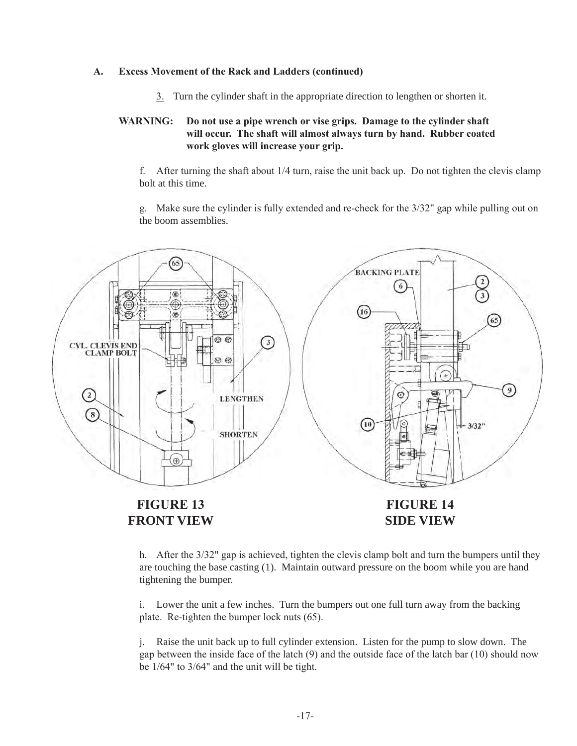## **A. Excess Movement of the Rack and Ladders (continued)**

3. Turn the cylinder shaft in the appropriate direction to lengthen or shorten it.

## **WARNING: Do not use a pipe wrench or vise grips. Damage to the cylinder shaft will occur. The shaft will almost always turn by hand. Rubber coated work gloves will increase your grip.**

f. After turning the shaft about 1/4 turn, raise the unit back up. Do not tighten the clevis clamp bolt at this time.

g. Make sure the cylinder is fully extended and re-check for the  $3/32$ " gap while pulling out on the boom assemblies.



# **FRONT VIEW**

**SIDE VIEW**

h. After the 3/32" gap is achieved, tighten the clevis clamp bolt and turn the bumpers until they are touching the base casting (1). Maintain outward pressure on the boom while you are hand tightening the bumper.

i. Lower the unit a few inches. Turn the bumpers out <u>one full turn</u> away from the backing plate. Re-tighten the bumper lock nuts (65).

 j. Raise the unit back up to full cylinder extension. Listen for the pump to slow down. The gap between the inside face of the latch (9) and the outside face of the latch bar (10) should now be 1/64" to 3/64" and the unit will be tight.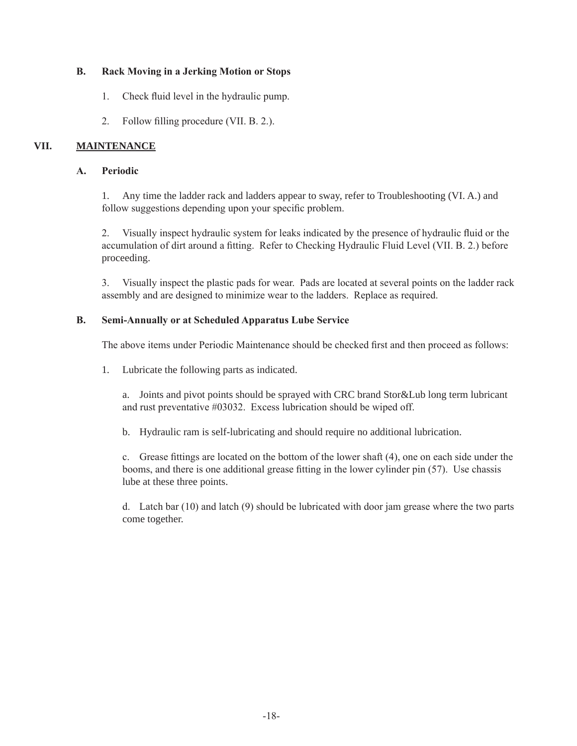## **B. Rack Moving in a Jerking Motion or Stops**

- 1. Check fluid level in the hydraulic pump.
- 2. Follow filling procedure (VII. B. 2.).

## **VII. MAINTENANCE**

## **A. Periodic**

1. Any time the ladder rack and ladders appear to sway, refer to Troubleshooting (VI. A.) and follow suggestions depending upon your specific problem.

2. Visually inspect hydraulic system for leaks indicated by the presence of hydraulic fluid or the accumulation of dirt around a fitting. Refer to Checking Hydraulic Fluid Level (VII. B. 2.) before proceeding.

 3. Visually inspect the plastic pads for wear. Pads are located at several points on the ladder rack assembly and are designed to minimize wear to the ladders. Replace as required.

## **B. Semi-Annually or at Scheduled Apparatus Lube Service**

 The above items under Periodic Maintenance should be checked first and then proceed as follows:

1. Lubricate the following parts as indicated.

 a. Joints and pivot points should be sprayed with CRC brand Stor&Lub long term lubricant and rust preventative #03032. Excess lubrication should be wiped off.

b. Hydraulic ram is self-lubricating and should require no additional lubrication.

 c. Grease fittings are located on the bottom of the lower shaft (4), one on each side under the booms, and there is one additional grease fitting in the lower cylinder pin (57). Use chassis lube at these three points.

d. Latch bar  $(10)$  and latch  $(9)$  should be lubricated with door jam grease where the two parts come together.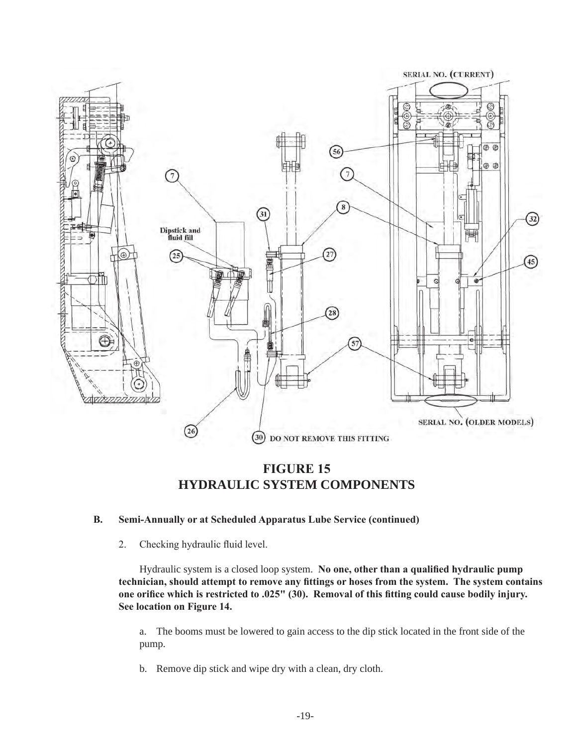

## **FIGURE 15 HYDRAULIC SYSTEM COMPONENTS**

## **B. Semi-Annually or at Scheduled Apparatus Lube Service (continued)**

2. Checking hydraulic fluid level.

 Hydraulic system is a closed loop system. **No one, other than a qualified hydraulic pump technician, should attempt to remove any fittings or hoses from the system. The system contains one orifice which is restricted to .025" (30). Removal of this fitting could cause bodily injury. See location on Figure 14.**

 a. The booms must be lowered to gain access to the dip stick located in the front side of the pump.

b. Remove dip stick and wipe dry with a clean, dry cloth.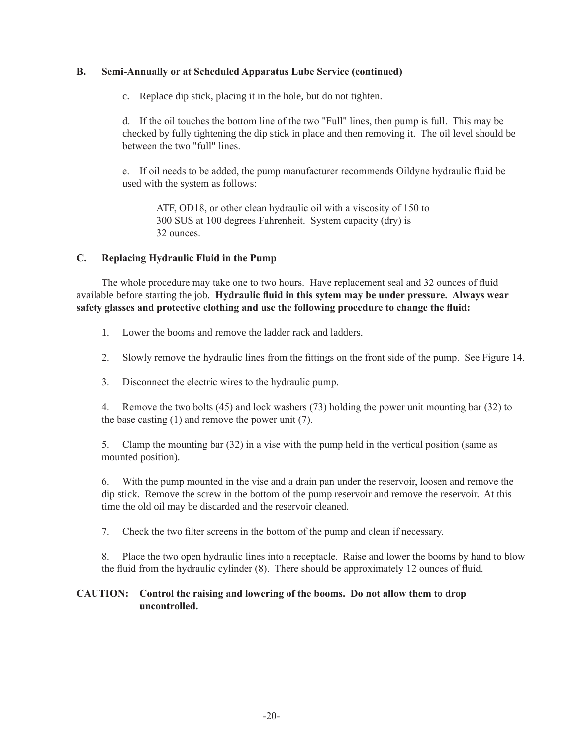## **B. Semi-Annually or at Scheduled Apparatus Lube Service (continued)**

c. Replace dip stick, placing it in the hole, but do not tighten.

d. If the oil touches the bottom line of the two "Full" lines, then pump is full. This may be checked by fully tightening the dip stick in place and then removing it. The oil level should be between the two "full" lines.

 e. If oil needs to be added, the pump manufacturer recommends Oildyne hydraulic fluid be used with the system as follows:

 ATF, OD18, or other clean hydraulic oil with a viscosity of 150 to 300 SUS at 100 degrees Fahrenheit. System capacity (dry) is 32 ounces.

## **C. Replacing Hydraulic Fluid in the Pump**

 The whole procedure may take one to two hours. Have replacement seal and 32 ounces of fluid available before starting the job. **Hydraulic fluid in this sytem may be under pressure. Always wear safety glasses and protective clothing and use the following procedure to change the fluid:**

- 1. Lower the booms and remove the ladder rack and ladders.
- 2. Slowly remove the hydraulic lines from the fittings on the front side of the pump. See Figure 14.
- 3. Disconnect the electric wires to the hydraulic pump.

 4. Remove the two bolts (45) and lock washers (73) holding the power unit mounting bar (32) to the base casting (1) and remove the power unit (7).

5. Clamp the mounting bar (32) in a vise with the pump held in the vertical position (same as mounted position).

 6. With the pump mounted in the vise and a drain pan under the reservoir, loosen and remove the dip stick. Remove the screw in the bottom of the pump reservoir and remove the reservoir. At this time the old oil may be discarded and the reservoir cleaned.

 7. Check the two filter screens in the bottom of the pump and clean if necessary.

8. Place the two open hydraulic lines into a receptacle. Raise and lower the booms by hand to blow the fluid from the hydraulic cylinder (8). There should be approximately 12 ounces of fluid.

## **CAUTION: Control the raising and lowering of the booms. Do not allow them to drop uncontrolled.**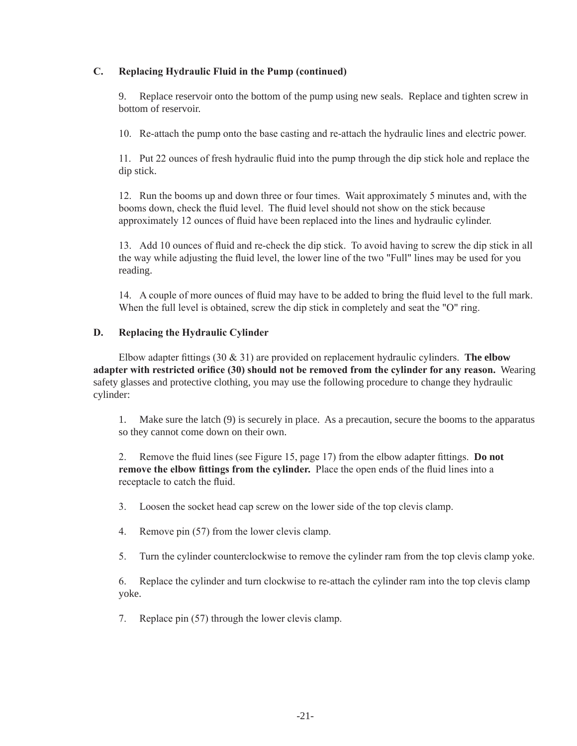## **C. Replacing Hydraulic Fluid in the Pump (continued)**

9. Replace reservoir onto the bottom of the pump using new seals. Replace and tighten screw in bottom of reservoir.

 10. Re-attach the pump onto the base casting and re-attach the hydraulic lines and electric power.

 11. Put 22 ounces of fresh hydraulic fluid into the pump through the dip stick hole and replace the dip stick.

 12. Run the booms up and down three or four times. Wait approximately 5 minutes and, with the booms down, check the fluid level. The fluid level should not show on the stick because approximately 12 ounces of fluid have been replaced into the lines and hydraulic cylinder.

 13. Add 10 ounces of fluid and re-check the dip stick. To avoid having to screw the dip stick in all the way while adjusting the fluid level, the lower line of the two "Full" lines may be used for you reading.

 14. A couple of more ounces of fluid may have to be added to bring the fluid level to the full mark. When the full level is obtained, screw the dip stick in completely and seat the "O" ring.

## **D. Replacing the Hydraulic Cylinder**

 Elbow adapter fittings (30 & 31) are provided on replacement hydraulic cylinders. **The elbow adapter with restricted orifice (30) should not be removed from the cylinder for any reason.** Wearing safety glasses and protective clothing, you may use the following procedure to change they hydraulic cylinder:

1. Make sure the latch (9) is securely in place. As a precaution, secure the booms to the apparatus so they cannot come down on their own.

 2. Remove the fluid lines (see Figure 15, page 17) from the elbow adapter fittings. **Do not remove the elbow fittings from the cylinder.** Place the open ends of the fluid lines into a receptacle to catch the fluid.

 3. Loosen the socket head cap screw on the lower side of the top clevis clamp.

- 4. Remove pin (57) from the lower clevis clamp.
- 5. Turn the cylinder counterclockwise to remove the cylinder ram from the top clevis clamp yoke.

 6. Replace the cylinder and turn clockwise to re-attach the cylinder ram into the top clevis clamp yoke.

 7. Replace pin (57) through the lower clevis clamp.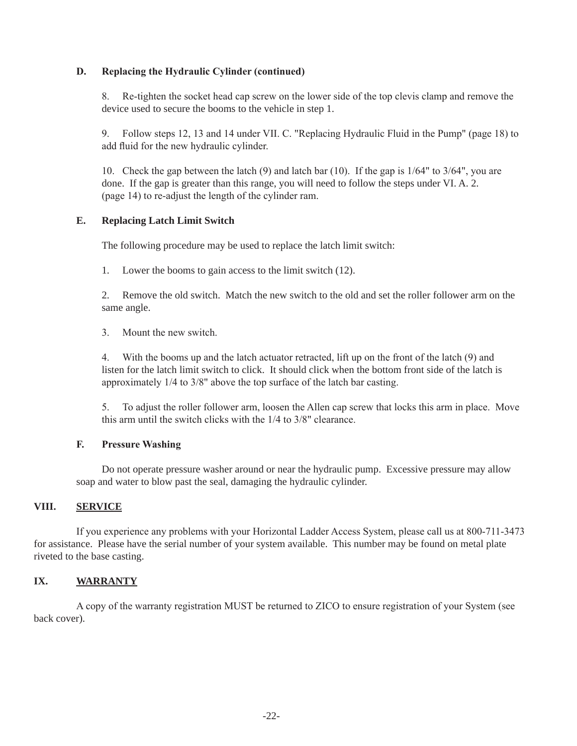## **D. Replacing the Hydraulic Cylinder (continued)**

 8. Re-tighten the socket head cap screw on the lower side of the top clevis clamp and remove the device used to secure the booms to the vehicle in step 1.

 9. Follow steps 12, 13 and 14 under VII. C. "Replacing Hydraulic Fluid in the Pump" (page 18) to add fluid for the new hydraulic cylinder.

10. Check the gap between the latch (9) and latch bar (10). If the gap is 1/64" to 3/64", you are done. If the gap is greater than this range, you will need to follow the steps under VI. A. 2. (page 14) to re-adjust the length of the cylinder ram.

## **E. Replacing Latch Limit Switch**

The following procedure may be used to replace the latch limit switch:

1. Lower the booms to gain access to the limit switch (12).

2. Remove the old switch. Match the new switch to the old and set the roller follower arm on the same angle.

 3. Mount the new switch.

 4. With the booms up and the latch actuator retracted, lift up on the front of the latch (9) and listen for the latch limit switch to click. It should click when the bottom front side of the latch is approximately 1/4 to 3/8" above the top surface of the latch bar casting.

 5. To adjust the roller follower arm, loosen the Allen cap screw that locks this arm in place. Move this arm until the switch clicks with the 1/4 to 3/8" clearance.

## **F.** Pressure Washing

Do not operate pressure washer around or near the hydraulic pump. Excessive pressure may allow soap and water to blow past the seal, damaging the hydraulic cylinder.

## **VIII. SERVICE**

If you experience any problems with your Horizontal Ladder Access System, please call us at 800-711-3473 for assistance. Please have the serial number of your system available. This number may be found on metal plate riveted to the base casting.

## **IX. WARRANTY**

 A copy of the warranty registration MUST be returned to ZICO to ensure registration of your System (see back cover).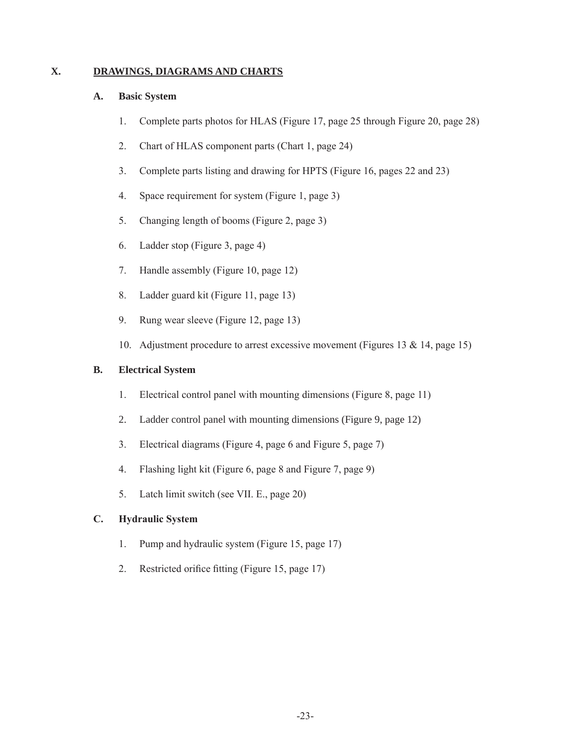## **X. DRAWINGS, DIAGRAMS AND CHARTS**

## **A. Basic System**

- 1. Complete parts photos for HLAS (Figure 17, page 25 through Figure 20, page 28)
- 2. Chart of HLAS component parts (Chart 1, page 24)
- 3. Complete parts listing and drawing for HPTS (Figure 16, pages 22 and 23)
- 4. Space requirement for system (Figure 1, page 3)
- 5. Changing length of booms (Figure 2, page 3)
- 6. Ladder stop (Figure 3, page 4)
- 7. Handle assembly (Figure 10, page 12)
- 8. Ladder guard kit (Figure 11, page 13)
- 9. Rung wear sleeve (Figure 12, page 13)
- 10. Adjustment procedure to arrest excessive movement (Figures 13  $\&$  14, page 15)

## **B. Electrical System**

- 1. Electrical control panel with mounting dimensions (Figure 8, page 11)
- 2. Ladder control panel with mounting dimensions (Figure 9, page 12)
- 3. Electrical diagrams (Figure 4, page 6 and Figure 5, page 7)
- 4. Flashing light kit (Figure 6, page 8 and Figure 7, page 9)
- 5. Latch limit switch (see VII. E., page 20)

## **C. Hydraulic System**

- 1. Pump and hydraulic system (Figure 15, page 17)
- 2. Restricted orifice fitting (Figure 15, page 17)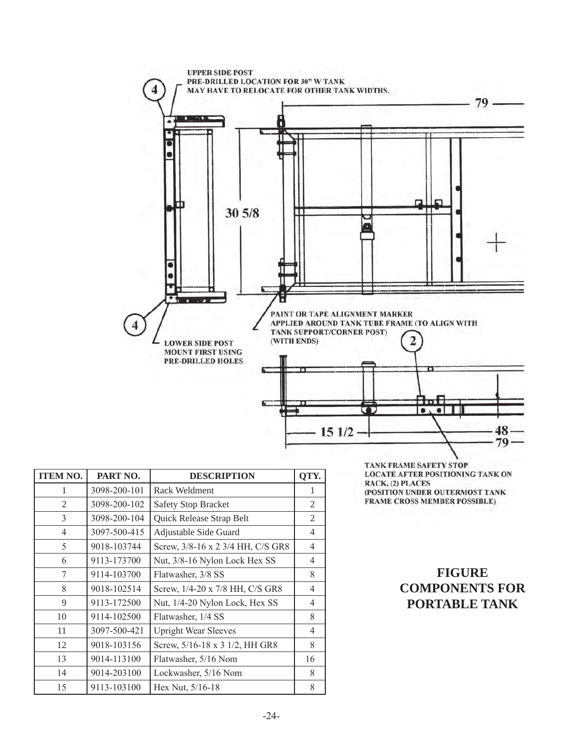

| <b>ITEM NO.</b> | PART NO.     | <b>DESCRIPTION</b>                | OTY.           |
|-----------------|--------------|-----------------------------------|----------------|
| 1               | 3098-200-101 | Rack Weldment                     | 1              |
| 2               | 3098-200-102 | <b>Safety Stop Bracket</b>        | 2              |
| 3               | 3098-200-104 | Quick Release Strap Belt          | 2              |
| 4               | 3097-500-415 | Adjustable Side Guard             | 4              |
| 5               | 9018-103744  | Screw, 3/8-16 x 2 3/4 HH, C/S GR8 | $\overline{4}$ |
| 6               | 9113-173700  | Nut, 3/8-16 Nylon Lock Hex SS     | 4              |
| 7               | 9114-103700  | Flatwasher, 3/8 SS                | 8              |
| 8               | 9018-102514  | Screw, 1/4-20 x 7/8 HH, C/S GR8   | 4              |
| 9               | 9113-172500  | Nut, 1/4-20 Nylon Lock, Hex SS    | 4              |
| 10              | 9114-102500  | Flatwasher, 1/4 SS                | 8              |
| 11              | 3097-500-421 | <b>Upright Wear Sleeves</b>       | 4              |
| 12              | 9018-103156  | Screw, 5/16-18 x 3 1/2, HH GR8    | 8              |
| 13              | 9014-113100  | Flatwasher, 5/16 Nom              | 16             |
| 14              | 9014-203100  | Lockwasher, 5/16 Nom              | 8              |
| 15              | 9113-103100  | Hex Nut, 5/16-18                  |                |

TANK FRAME SAFETY STOP LOCATE AFTER POSITIONING TANK ON RACK, (2) PLACES (POSITION UNDER OUTERMOST TANK FRAME CROSS MEMBER POSSIBLE)

## **FIGURE COMPONENTS FOR PORTABLE TANK**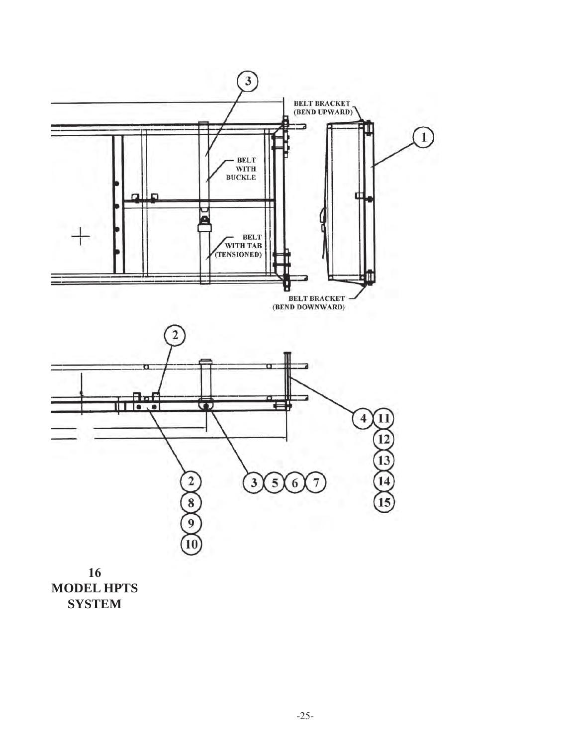

-25-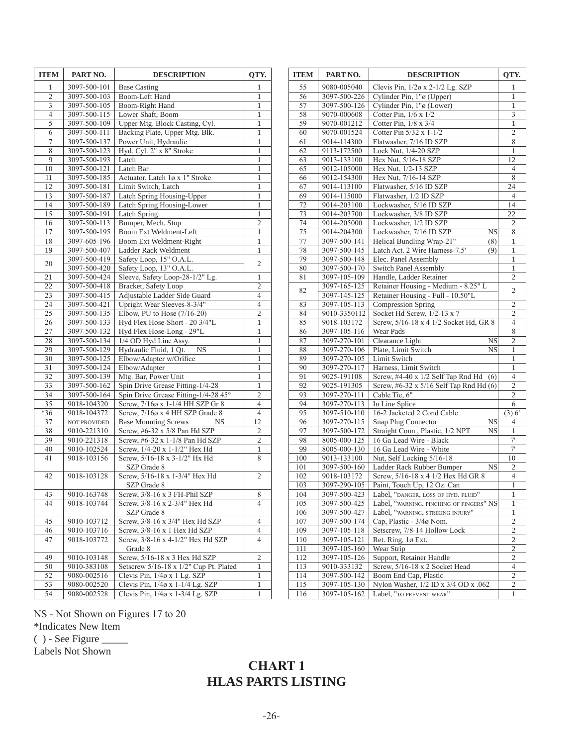| <b>ITEM</b>               | PART NO.     | <b>DESCRIPTION</b>                       | QTY.            |
|---------------------------|--------------|------------------------------------------|-----------------|
| 1                         | 3097-500-101 | <b>Base Casting</b>                      | 1               |
| $\mathfrak{2}$            | 3097-500-103 | Boom-Left Hand                           | 1               |
| $\overline{\overline{3}}$ | 3097-500-105 | <b>Boom-Right Hand</b>                   | $\mathbf{1}$    |
| $\overline{4}$            | 3097-500-115 | Lower Shaft, Boom                        | $\mathbf{1}$    |
| 5                         | 3097-500-109 | Upper Mtg. Block Casting, Cyl.           | 1               |
| 6                         | 3097-500-111 | Backing Plate, Upper Mtg. Blk.           | 1               |
| 7                         | 3097-500-137 | Power Unit, Hydraulic                    | 1               |
| $\overline{8}$            | 3097-500-123 | Hyd. Cyl. 2" x 8" Stroke                 | $\mathbf{1}$    |
| 9                         | 3097-500-193 | Latch                                    | $\mathbf{1}$    |
| 10                        | 3097-500-121 | Latch Bar                                | $\,1$           |
| 11                        | 3097-500-185 | Actuator, Latch 1ø x 1" Stroke           | $\mathbf{1}$    |
| 12                        | 3097-500-181 | Limit Switch, Latch                      | 1               |
| $\overline{13}$           | 3097-500-187 | Latch Spring Housing-Upper               | $\overline{1}$  |
| 14                        | 3097-500-189 | Latch Spring Housing-Lower               | $\mathbf{1}$    |
| 15                        | 3097-500-191 | <b>Latch Spring</b>                      | $\,1\,$         |
| 16                        | 3097-500-113 | Bumper, Mech. Stop                       | $\overline{c}$  |
| 17                        | 3097-500-195 | <b>Boom Ext Weldment-Left</b>            | 1               |
| $\overline{18}$           | 3097-605-196 | Boom Ext Weldment-Right                  | $\mathbf{1}$    |
| 19                        | 3097-500-407 | Ladder Rack Weldment                     | 1               |
|                           | 3097-500-419 | Safety Loop, 15" O.A.L.                  |                 |
| 20                        | 3097-500-420 | Safety Loop, 13" O.A.L.                  | $\overline{c}$  |
| 21                        | 3097-500-424 | Sleeve, Safety Loop-28-1/2" Lg.          | 1               |
| 22                        | 3097-500-418 | Bracket, Safety Loop                     | $\overline{2}$  |
| 23                        | 3097-500-415 | Adjustable Ladder Side Guard             | $\overline{4}$  |
| 24                        | 3097-500-421 | Upright Wear Sleeves-8-3/4"              | $\overline{4}$  |
| 25                        | 3097-500-135 | Elbow, PU to Hose (7/16-20)              | $\overline{c}$  |
| 26                        | 3097-500-133 | Hyd Flex Hose-Short - 20 3/4"L           | 1               |
| 27                        | 3097-500-132 | Hyd Flex Hose-Long - 29"L                | $\overline{1}$  |
| 28                        | 3097-500-134 | 1/4 OD Hyd Line Assy.                    | $\mathbf{1}$    |
| 29                        | 3097-500-129 | Hydraulic Fluid, 1 Qt.<br>NS             | 1               |
| 30                        | 3097-500-125 | Elbow/Adapter w/Orifice                  | $\mathbf{1}$    |
| 31                        | 3097-500-124 | Elbow/Adapter                            | 1               |
| 32                        | 3097-500-139 | Mtg. Bar, Power Unit                     | $\mathbf{1}$    |
| 33                        | 3097-500-162 | Spin Drive Grease Fitting-1/4-28         | $\mathbf{1}$    |
| 34                        | 3097-500-164 | Spin Drive Grease Fitting-1/4-28 45°     | $\overline{c}$  |
| 35                        | 9018-104320  | Screw, 7/16ø x 1-1/4 HH SZP Gr 8         | $\overline{4}$  |
| $*36$                     | 9018-104372  | Screw, 7/16ø x 4 HH SZP Grade 8          | $\overline{4}$  |
| 37                        | NOT PROVIDED | <b>Base Mounting Screws</b><br><b>NS</b> | $\overline{12}$ |
| 38                        | 9010-221310  | Screw, #6-32 x 5/8 Pan Hd SZP            | $\mathfrak{2}$  |
| 39                        | 9010-221318  | Screw, #6-32 x 1-1/8 Pan Hd SZP          | 2               |
| 40                        | 9010-102524  | Screw, 1/4-20 x 1-1/2" Hex Hd            | $\mathbf{1}$    |
| 41                        | 9018-103156  | Screw, 5/16-18 x 3-1/2" Hx Hd            | 8               |
|                           |              | SZP Grade 8                              |                 |
| 42                        | 9018-103128  | Screw, 5/16-18 x 1-3/4" Hex Hd           | $\mathfrak{2}$  |
|                           |              | SZP Grade 8                              |                 |
| 43                        | 9010-163748  | Screw, 3/8-16 x 3 FH-Phil SZP            | 8               |
| 44                        | 9018-103744  | Screw, 3/8-16 x 2-3/4" Hex Hd            | 4               |
|                           |              | SZP Grade 8                              |                 |
| 45                        | 9010-103712  | Screw, 3/8-16 x 3/4" Hex Hd SZP          | 4               |
| 46                        | 9010-103716  | Screw, 3/8-16 x 1 Hex Hd SZP             | 4               |
| 47                        | 9018-103772  | Screw, 3/8-16 x 4-1/2" Hex Hd SZP        | $\overline{4}$  |
|                           |              | Grade 8                                  |                 |
| 49                        | 9010-103148  | Screw, 5/16-18 x 3 Hex Hd SZP            | 2               |
| 50                        | 9010-383108  | Setscrew 5/16-18 x 1/2" Cup Pt. Plated   | 1               |
| 52                        | 9080-002516  | Clevis Pin, 1/4ø x 1 Lg. SZP             | 1               |
| 53                        | 9080-002520  | Clevis Pin, $1/4\sigma$ x 1-1/4 Lg. SZP  | 1               |
| 54                        | 9080-002528  | Clevis Pin, 1/4ø x 1-3/4 Lg. SZP         | 1               |

| <b>ITEM</b> | PART NO.           | <b>DESCRIPTION</b>                            | QTY.                    |
|-------------|--------------------|-----------------------------------------------|-------------------------|
| 55          | 9080-005040        | Clevis Pin, $1/2\sigma$ x 2-1/2 Lg. SZP       | 1                       |
| 56          | 3097-500-226       | Cylinder Pin, 1"ø (Upper)                     | $\mathbf{1}$            |
| 57          | 3097-500-126       | Cylinder Pin, 1"ø (Lower)                     | $\mathbf{1}$            |
| 58          | 9070-000608        | Cotter Pin, $1/6 \times 1/2$                  | $\overline{\mathbf{3}}$ |
| 59          | 9070-001212        | Cotter Pin, 1/8 x 3/4                         | 1                       |
| 60          | 9070-001524        | Cotter Pin 5/32 x 1-1/2                       | $\overline{c}$          |
| 61          | 9014-114300        | Flatwasher, 7/16 ID SZP                       | 8                       |
| 62          | 9113-172500        | Lock Nut, 1/4-20 SZP                          | $\mathbf{1}$            |
| 63          | 9013-133100        | Hex Nut, 5/16-18 SZP                          | 12                      |
| 65          | 9012-105000        | Hex Nut, 1/2-13 SZP                           | 4                       |
| 66          | 9012-154300        | Hex Nut, 7/16-14 SZP                          | 8                       |
| 67          | 9014-113100        | Flatwasher, 5/16 ID SZP                       | 24                      |
| 69          | 9014-115000        | Flatwasher, 1/2 ID SZP                        | $\overline{4}$          |
| 72          | 9014-203100        | Lockwasher, 5/16 ID SZP                       | 14                      |
| 73          | 9014-203700        | Lockwasher, 3/8 ID SZP                        | 22                      |
| 74          | 9014-205000        | Lockwasher, 1/2 ID SZP                        | 2                       |
| 75          | 9014-204300        | Lockwasher, 7/16 ID SZP<br><b>NS</b>          | 8                       |
| 77          | 3097-500-141       | Helical Bundling Wrap-21"<br>(8)              | 1                       |
| 78          | 3097-500-145       | Latch Act. 2 Wire Harness-7.5'<br>(9)         | $\mathbf{1}$            |
| 79          | 3097-500-148       | Elec. Panel Assembly                          | $\mathbf{1}$            |
| 80          | 3097-500-170       | <b>Switch Panel Assembly</b>                  | 1                       |
| 81          | 3097-105-109       | Handle, Ladder Retainer                       | $\overline{2}$          |
|             |                    |                                               |                         |
| 82          | 3097-165-125       | Retainer Housing - Medium - 8.25" L           | 2                       |
|             | 3097-145-125       | Retainer Housing - Full - 10.50"L             |                         |
| 83          | $3097 - 105 - 113$ | <b>Compression Spring</b>                     | $\mathfrak{2}$          |
| 84          | 9010-3350112       | Socket Hd Screw, 1/2-13 x 7                   | $\overline{c}$          |
| 85          | 9018-103172        | Screw, 5/16-18 x 4 1/2 Socket Hd, GR 8        | $\overline{4}$          |
| 86          | 3097-105-116       | Wear Pads                                     | 8                       |
| 87          | 3097-270-101       | Clearance Light<br>NS                         | $\overline{2}$          |
| 88          | 3097-270-106       | Plate, Limit Switch<br><b>NS</b>              | $\mathbf{1}$            |
| 89          | 3097-270-105       | Limit Switch                                  | 1                       |
| 90          | 3097-270-117       | Harness, Limit Switch                         | $\mathbf{1}$            |
| 91          | 9025-191108        | Screw, #4-40 x 1/2 Self Tap Rnd Hd<br>(6)     | $\overline{4}$          |
| 92          | 9025-191305        | Screw, #6-32 x 5/16 Self Tap Rnd Hd (6)       | $\overline{c}$          |
| 93          | 3097-270-111       | Cable Tie, 6"                                 | $\overline{2}$          |
| 94          | 3097-270-113       | In Line Splice                                | 6                       |
| 95          | 3097-510-110       | 16-2 Jacketed 2 Cond Cable                    | (3) 6'                  |
| 96          | 3097-270-115       | Snap Plug Connector<br>NS                     | $\overline{4}$          |
| 97          | 3097-500-172       | Straight Conn., Plastic, 1/2 NPT<br><b>NS</b> | $\mathbf{1}$            |
| 98          | 8005-000-125       | 16 Ga Lead Wire - Black                       | 7'                      |
| 99          | $8005 - 000 - 130$ | 16 Ga Lead Wire - White                       | 7'                      |
| 100         | 9013-133100        | Nut, Self Locking 5/16-18                     | 10                      |
| 101         | 3097-500-160       | Ladder Rack Rubber Bumper<br>NS               | 2                       |
| 102         | 9018-103172        | Screw, 5/16-18 x 4 1/2 Hex Hd GR 8            | $\overline{4}$          |
| 103         | 3097-290-105       | Paint, Touch Up, 12 Oz. Can                   | $\mathbf{1}$            |
| 104         | 3097-500-423       | Label, "DANGER, LOSS OF HYD. FLUID"           | 1                       |
| 105         | 3097-500-425       | Label, "WARNING, PINCHING OF FINGERS" NS      | 1                       |
| 106         | 3097-500-427       | Label, "WARNING, STRIKING INJURY"             | 1                       |
| 107         | 3097-500-174       | Cap, Plastic - 3/4ø Nom.                      | $\overline{c}$          |
| 109         | 3097-105-118       | Setscrew, 7/8-14 Hollow Lock                  | $\mathbf{2}$            |
| 110         | 3097-105-121       | Ret. Ring, 1ø Ext.                            | $\mathbf{2}$            |
| 111         | 3097-105-160       | Wear Strip                                    | 2                       |
| 112         | 3097-105-126       | Support, Retainer Handle                      | 2                       |
| 113         | 9010-333132        | Screw, 5/16-18 x 2 Socket Head                | $\overline{4}$          |
| 114         | 3097-500-142       | Boom End Cap, Plastic                         | $\mathbf{2}$            |
| 115         | 3097-105-130       | Nylon Washer, 1/2 ID x 3/4 OD x .062          | 2                       |
| 116         | 3097-105-162       | Label, "TO PREVENT WEAR"                      | 1                       |

NS - Not Shown on Figures 17 to 20 \*Indicates New Item  $( )$  - See Figure  $\_\_$ 

Labels Not Shown

# **CHART 1 HLAS PARTS LISTING**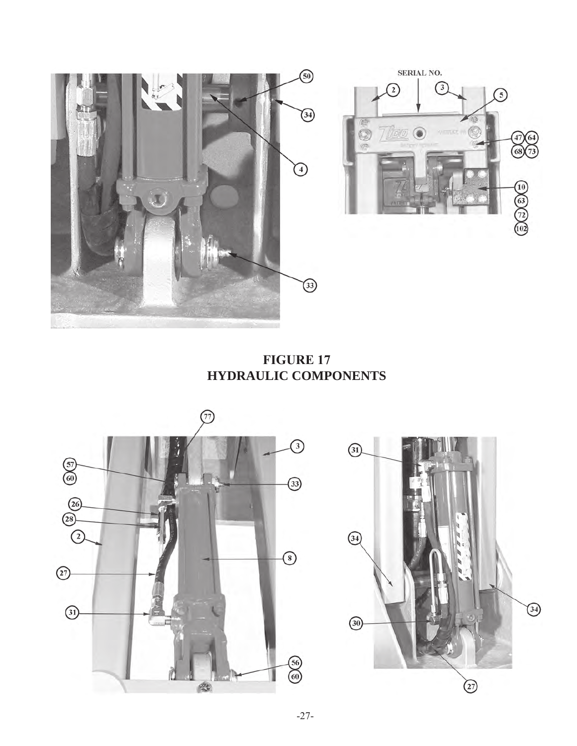

**FIGURE 17 HYDRAULIC COMPONENTS**

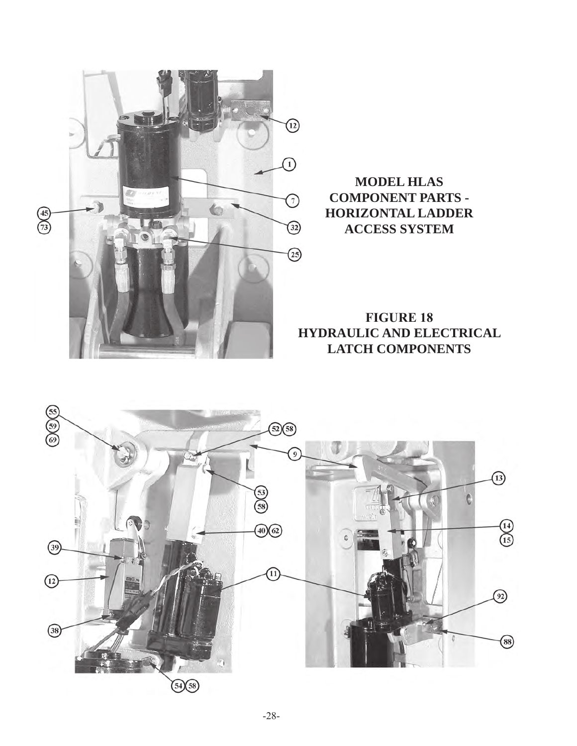

**MODEL HLAS COMPONENT PARTS - HORIZONTAL LADDER ACCESS SYSTEM**

# **FIGURE 18 HYDRAULIC AND ELECTRICAL LATCH COMPONENTS**

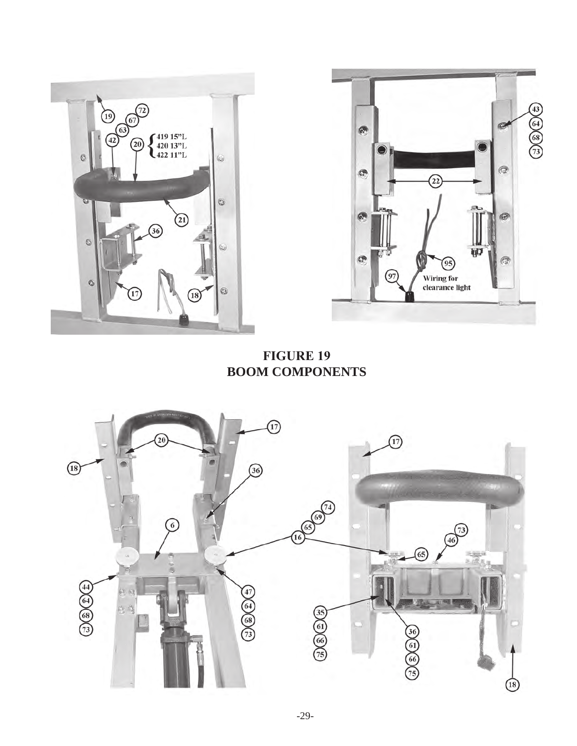



**FIGURE 19 BOOM COMPONENTS**

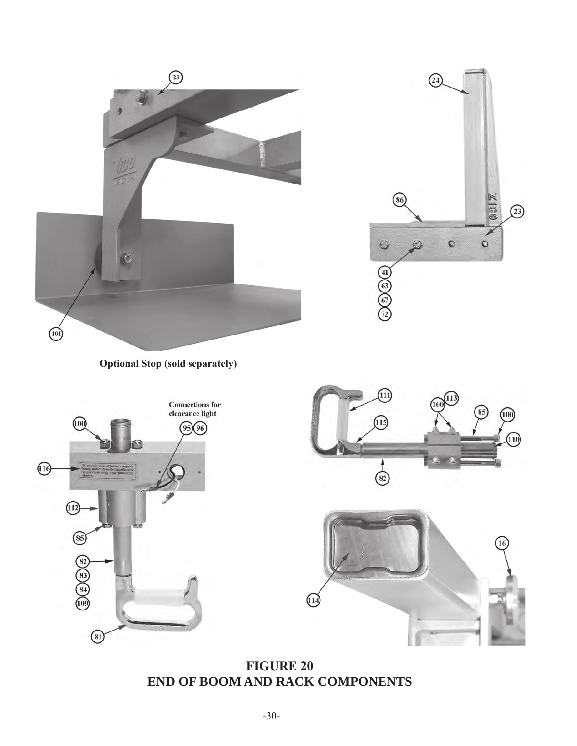

**FIGURE 20 END OF BOOM AND RACK COMPONENTS**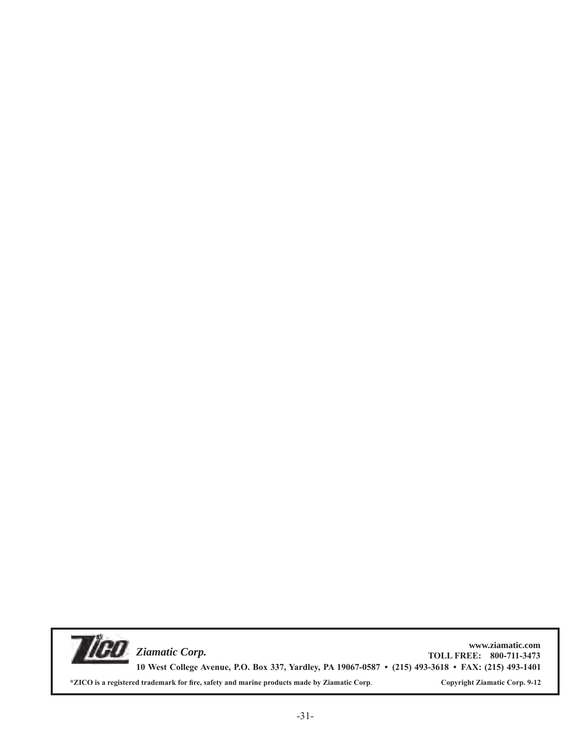